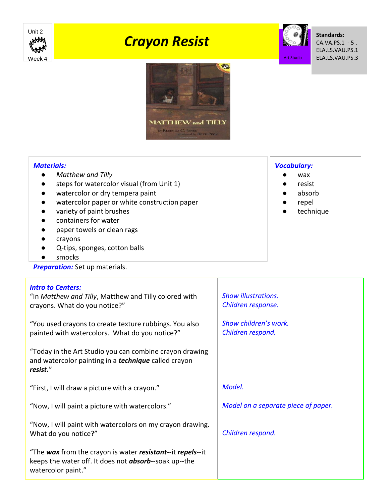

# *Crayon Resist*



**Standards:** CA.VA.PS.1 - 5 . ELA.LS.VAU.PS.1 ELA.LS.VAU.PS.3



## *Materials:*

- *Matthew and Tilly*
- steps for watercolor visual (from Unit 1)
- watercolor or dry tempera paint
- watercolor paper or white construction paper
- variety of paint brushes
- containers for water
- paper towels or clean rags
- crayons
- Q-tips, sponges, cotton balls
- smocks

**Preparation:** Set up materials.

## *Intro to Centers:* "In *Matthew and Tilly*, Matthew and Tilly colored with crayons. What do you notice?" "You used crayons to create texture rubbings. You also painted with watercolors. What do you notice?" "Today in the Art Studio you can combine crayon drawing and watercolor painting in a *technique* called crayon *resist.*" "First, I will draw a picture with a crayon." "Now, I will paint a picture with watercolors." "Now, I will paint with watercolors on my crayon drawing. What do you notice?" "The *wax* from the crayon is water *resistant*--it *repels*--it keeps the water off. It does not *absorb*--soak up--the watercolor paint." *Show illustrations. Children response. Show children's work. Children respond. Model. Model on a separate piece of paper. Children respond.*

## *Vocabulary:*

- wax
- resist
- absorb
- repel
- technique